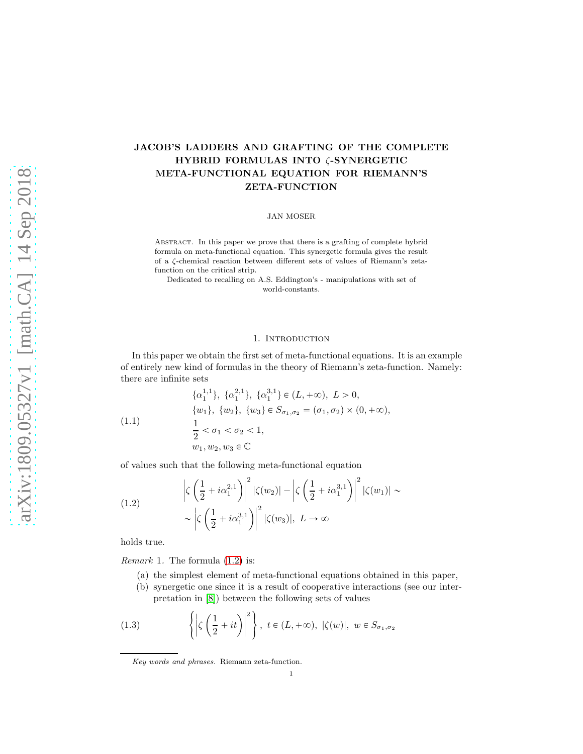# JACOB'S LADDERS AND GRAFTING OF THE COMPLETE HYBRID FORMULAS INTO ζ-SYNERGETIC META-FUNCTIONAL EQUATION FOR RIEMANN'S ZETA-FUNCTION

JAN MOSER

Abstract. In this paper we prove that there is a grafting of complete hybrid formula on meta-functional equation. This synergetic formula gives the result of a ζ-chemical reaction between different sets of values of Riemann's zetafunction on the critical strip.

Dedicated to recalling on A.S. Eddington's - manipulations with set of world-constants.

#### 1. INTRODUCTION

In this paper we obtain the first set of meta-functional equations. It is an example of entirely new kind of formulas in the theory of Riemann's zeta-function. Namely: there are infinite sets

<span id="page-0-2"></span>(1.1)  
\n
$$
\{\alpha_1^{1,1}\}, \{\alpha_1^{2,1}\}, \{\alpha_1^{3,1}\} \in (L, +\infty), L > 0,
$$
\n
$$
\{w_1\}, \{w_2\}, \{w_3\} \in S_{\sigma_1, \sigma_2} = (\sigma_1, \sigma_2) \times (0, +\infty),
$$
\n
$$
\frac{1}{2} < \sigma_1 < \sigma_2 < 1,
$$
\n
$$
w_1, w_2, w_3 \in \mathbb{C}
$$

of values such that the following meta-functional equation

<span id="page-0-0"></span>(1.2) 
$$
\left|\zeta\left(\frac{1}{2}+i\alpha_1^{2,1}\right)\right|^2|\zeta(w_2)| - \left|\zeta\left(\frac{1}{2}+i\alpha_1^{3,1}\right)\right|^2|\zeta(w_1)| \sim \left|\zeta\left(\frac{1}{2}+i\alpha_1^{3,1}\right)\right|^2|\zeta(w_3)|, L \to \infty
$$

holds true.

*Remark* 1. The formula  $(1.2)$  is:

- (a) the simplest element of meta-functional equations obtained in this paper,
- <span id="page-0-1"></span>(b) synergetic one since it is a result of cooperative interactions (see our interpretation in [\[8\]](#page-10-0)) between the following sets of values

(1.3) 
$$
\left\{ \left| \zeta \left( \frac{1}{2} + it \right) \right|^2 \right\}, \ t \in (L, +\infty), \ |\zeta(w)|, \ w \in S_{\sigma_1, \sigma_2}
$$

Key words and phrases. Riemann zeta-function.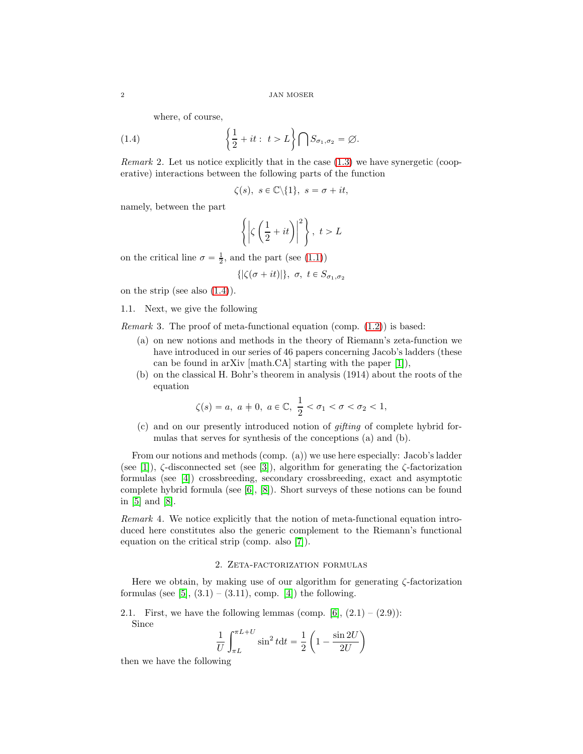where, of course,

(1.4) 
$$
\left\{\frac{1}{2} + it : t > L\right\} \bigcap S_{\sigma_1, \sigma_2} = \varnothing.
$$

Remark 2. Let us notice explicitly that in the case [\(1.3\)](#page-0-1) we have synergetic (cooperative) interactions between the following parts of the function

<span id="page-1-0"></span>
$$
\zeta(s), s \in \mathbb{C} \backslash \{1\}, s = \sigma + it,
$$

namely, between the part

$$
\left\{ \left| \zeta \left( \frac{1}{2} + it \right) \right|^2 \right\}, \ t > L
$$

on the critical line  $\sigma = \frac{1}{2}$ , and the part (see [\(1.1\)](#page-0-2))

$$
\{|\zeta(\sigma+it)|\}, \sigma, t \in S_{\sigma_1, \sigma_2}
$$

on the strip (see also  $(1.4)$ ).

1.1. Next, we give the following

*Remark* 3. The proof of meta-functional equation (comp.  $(1.2)$ ) is based:

- (a) on new notions and methods in the theory of Riemann's zeta-function we have introduced in our series of 46 papers concerning Jacob's ladders (these can be found in arXiv [math.CA] starting with the paper [\[1\]](#page-10-1)),
- (b) on the classical H. Bohr's theorem in analysis (1914) about the roots of the equation

$$
\zeta(s) = a, \ a \neq 0, \ a \in \mathbb{C}, \ \frac{1}{2} < \sigma_1 < \sigma < \sigma_2 < 1,
$$

(c) and on our presently introduced notion of gifting of complete hybrid formulas that serves for synthesis of the conceptions (a) and (b).

From our notions and methods (comp. (a)) we use here especially: Jacob's ladder (see [\[1\]](#page-10-1)),  $\zeta$ -disconnected set (see [\[3\]](#page-10-2)), algorithm for generating the  $\zeta$ -factorization formulas (see [\[4\]](#page-10-3)) crossbreeding, secondary crossbreeding, exact and asymptotic complete hybrid formula (see  $[6]$ ,  $[8]$ ). Short surveys of these notions can be found in [\[5\]](#page-10-5) and [\[8\]](#page-10-0).

Remark 4. We notice explicitly that the notion of meta-functional equation introduced here constitutes also the generic complement to the Riemann's functional equation on the critical strip (comp. also [\[7\]](#page-10-6)).

#### 2. Zeta-factorization formulas

Here we obtain, by making use of our algorithm for generating ζ-factorization formulas (see [\[5\]](#page-10-5),  $(3.1) - (3.11)$ , comp. [\[4\]](#page-10-3)) the following.

2.1. First, we have the following lemmas (comp.  $[6]$ ,  $(2.1) - (2.9)$ ): Since

$$
\frac{1}{U} \int_{\pi L}^{\pi L + U} \sin^2 t dt = \frac{1}{2} \left( 1 - \frac{\sin 2U}{2U} \right)
$$

then we have the following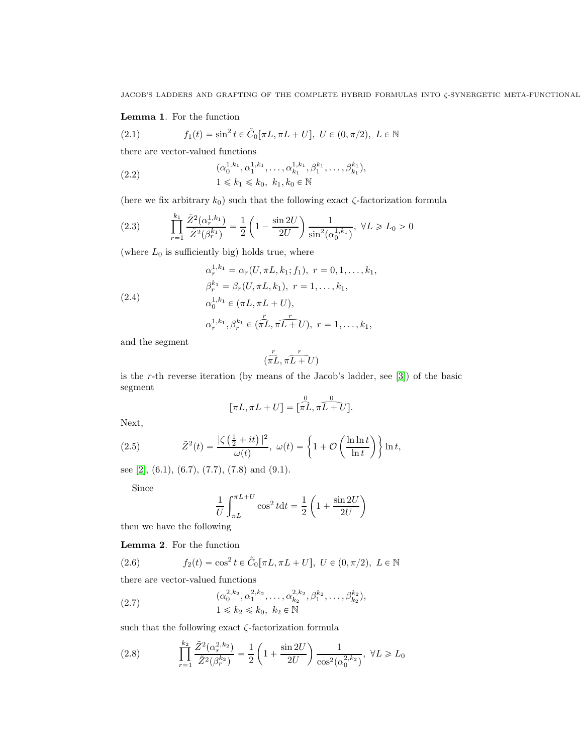## Lemma 1. For the function

<span id="page-2-2"></span> $\mathbf{r}$ 

(2.1) 
$$
f_1(t) = \sin^2 t \in \tilde{C}_0[\pi L, \pi L + U], \ U \in (0, \pi/2), \ L \in \mathbb{N}
$$

there are vector-valued functions

$$
(2.2) \qquad \qquad (\alpha_0^{1,k_1}, \alpha_1^{1,k_1}, \dots, \alpha_{k_1}^{1,k_1}, \beta_1^{k_1}, \dots, \beta_{k_1}^{k_1}),
$$
  

$$
1 \leq k_1 \leq k_0, \ k_1, k_0 \in \mathbb{N}
$$

(here we fix arbitrary  $k_0$ ) such that the following exact  $\zeta$ -factorization formula

$$
(2.3) \qquad \prod_{r=1}^{k_1} \frac{\tilde{Z}^2(\alpha_r^{1,k_1})}{\tilde{Z}^2(\beta_r^{k_1})} = \frac{1}{2} \left( 1 - \frac{\sin 2U}{2U} \right) \frac{1}{\sin^2(\alpha_0^{1,k_1})}, \ \forall L \geq L_0 > 0
$$

(where  $L_0$  is sufficiently big) holds true, where  $\lambda$ 

<span id="page-2-3"></span>(2.4)  
\n
$$
\alpha_r^{1,k_1} = \alpha_r(U, \pi L, k_1; f_1), \ r = 0, 1, \dots, k_1,
$$
\n
$$
\beta_r^{k_1} = \beta_r(U, \pi L, k_1), \ r = 1, \dots, k_1,
$$
\n
$$
\alpha_0^{1,k_1} \in (\pi L, \pi L + U),
$$
\n
$$
\alpha_r^{1,k_1}, \beta_r^{k_1} \in (\pi L, \pi L + U), \ r = 1, \dots, k_1,
$$

and the segment

$$
(\overbrace{\pi L}^r, \overbrace{\pi L + U}^r)
$$

is the r-th reverse iteration (by means of the Jacob's ladder, see [\[3\]](#page-10-2)) of the basic segment

$$
[\pi L, \pi L + U] = [\widehat{\pi L}, \widehat{\pi L + U}].
$$

Next,

(2.5) 
$$
\tilde{Z}^2(t) = \frac{|\zeta(\frac{1}{2} + it)|^2}{\omega(t)}, \ \omega(t) = \left\{1 + \mathcal{O}\left(\frac{\ln \ln t}{\ln t}\right)\right\} \ln t,
$$

see [\[2\]](#page-10-7), (6.1), (6.7), (7.7), (7.8) and (9.1).

Since

$$
\frac{1}{U} \int_{\pi L}^{\pi L + U} \cos^2 t dt = \frac{1}{2} \left( 1 + \frac{\sin 2U}{2U} \right)
$$

then we have the following

Lemma 2. For the function

(2.6) 
$$
f_2(t) = \cos^2 t \in \tilde{C}_0[\pi L, \pi L + U], \ U \in (0, \pi/2), \ L \in \mathbb{N}
$$

there are vector-valued functions

<span id="page-2-0"></span>
$$
(2.7) \qquad \qquad (\alpha_0^{2,k_2}, \alpha_1^{2,k_2}, \dots, \alpha_{k_2}^{2,k_2}, \beta_1^{k_2}, \dots, \beta_{k_2}^{k_2}),
$$
  

$$
1 \leq k_2 \leq k_0, k_2 \in \mathbb{N}
$$

such that the following exact  $\zeta$ -factorization formula

<span id="page-2-1"></span>(2.8) 
$$
\prod_{r=1}^{k_2} \frac{\tilde{Z}^2(\alpha_r^{2,k_2})}{\tilde{Z}^2(\beta_r^{k_2})} = \frac{1}{2} \left( 1 + \frac{\sin 2U}{2U} \right) \frac{1}{\cos^2(\alpha_0^{2,k_2})}, \ \forall L \geq L_0
$$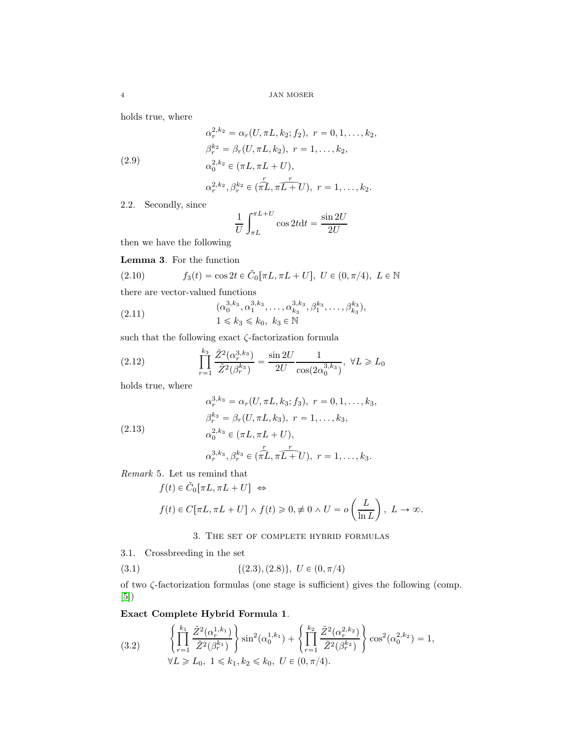holds true, where

$$
\alpha_r^{2,k_2} = \alpha_r(U, \pi L, k_2; f_2), \ r = 0, 1, \dots, k_2,
$$
  

$$
\beta_r^{k_2} = \beta_r(U, \pi L, k_2), \ r = 1, \dots, k_2,
$$
  

$$
\alpha_0^{2,k_2} \in (\pi L, \pi L + U),
$$

$$
\alpha_r^{2,k_2}, \beta_r^{k_2} \in (\pi\hat{L}, \pi\hat{L}+U), r = 1, ..., k_2.
$$

2.2. Secondly, since

$$
\frac{1}{U} \int_{\pi L}^{\pi L + U} \cos 2t \, dt = \frac{\sin 2U}{2U}
$$

then we have the following

Lemma 3. For the function

(2.10) 
$$
f_3(t) = \cos 2t \in \tilde{C}_0[\pi L, \pi L + U], U \in (0, \pi/4), L \in \mathbb{N}
$$
 there are vector-valued functions

(2.11) 
$$
(\alpha_0^{3,k_3}, \alpha_1^{3,k_3}, \dots, \alpha_{k_3}^{3,k_3}, \beta_1^{k_3}, \dots, \beta_{k_3}^{k_3}), 1 \leq k_3 \leq k_0, k_3 \in \mathbb{N}
$$

such that the following exact  $\zeta\text{-factorization formula}$ 

<span id="page-3-1"></span>(2.12) 
$$
\prod_{r=1}^{k_3} \frac{\tilde{Z}^2(\alpha_r^{3,k_3})}{\tilde{Z}^2(\beta_r^{k_3})} = \frac{\sin 2U}{2U} \frac{1}{\cos(2\alpha_0^{3,k_3})}, \ \forall L \geq L_0
$$

holds true, where

<span id="page-3-3"></span>(2.13)  
\n
$$
\alpha_r^{3,k_3} = \alpha_r(U, \pi L, k_3; f_3), \ r = 0, 1, \dots, k_3,
$$
\n
$$
\beta_r^{k_3} = \beta_r(U, \pi L, k_3), \ r = 1, \dots, k_3,
$$
\n
$$
\alpha_0^{2,k_3} \in (\pi L, \pi L + U),
$$
\n
$$
\alpha_r^{3,k_3}, \beta_r^{k_3} \in (\pi L, \pi L + U), \ r = 1, \dots, k_3.
$$

Remark 5. Let us remind that

$$
f(t) \in \tilde{C}_0[\pi L, \pi L + U] \Leftrightarrow
$$
  

$$
f(t) \in C[\pi L, \pi L + U] \wedge f(t) \ge 0, \neq 0 \wedge U = o\left(\frac{L}{\ln L}\right), L \to \infty.
$$

3. The set of complete hybrid formulas

3.1. Crossbreeding in the set

(3.1) 
$$
\{(2.3), (2.8)\}, U \in (0, \pi/4)
$$

of two ζ-factorization formulas (one stage is sufficient) gives the following (comp. [\[5\]](#page-10-5))

Exact Complete Hybrid Formula 1.

<span id="page-3-0"></span>
$$
(3.2) \qquad \begin{cases} \prod_{r=1}^{k_1} \frac{\tilde{Z}^2(\alpha_r^{1,k_1})}{\tilde{Z}^2(\beta_r^{k_1})} \end{cases} \sin^2(\alpha_0^{1,k_1}) + \left\{ \prod_{r=1}^{k_2} \frac{\tilde{Z}^2(\alpha_r^{2,k_2})}{\tilde{Z}^2(\beta_r^{k_2})} \right\} \cos^2(\alpha_0^{2,k_2}) = 1, \\ \forall L \ge L_0, 1 \le k_1, k_2 \le k_0, U \in (0, \pi/4). \end{cases}
$$

<span id="page-3-2"></span>(2.9)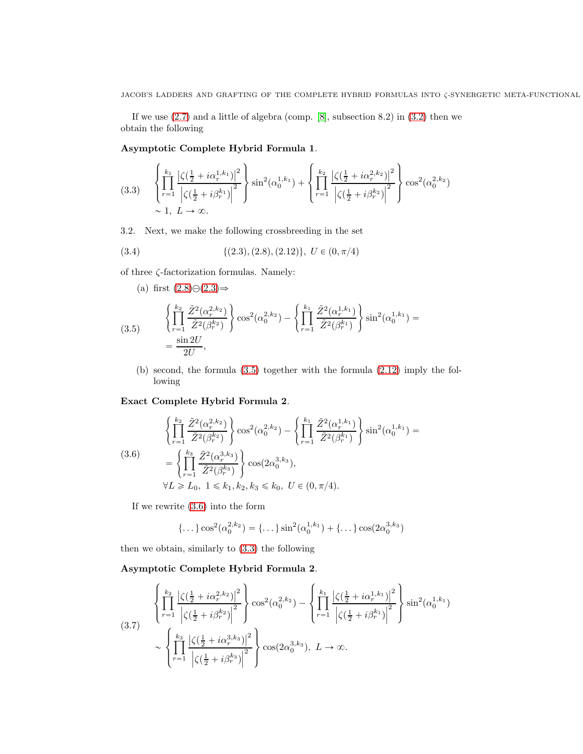If we use [\(2.7\)](#page-2-0) and a little of algebra (comp. [\[8\]](#page-10-0), subsection 8.2) in [\(3.2\)](#page-3-0) then we obtain the following

## Asymptotic Complete Hybrid Formula 1.

<span id="page-4-2"></span>
$$
(3.3) \quad\n\left\{\n\prod_{r=1}^{k_1} \frac{\left|\zeta(\frac{1}{2} + i\alpha_r^{1,k_1})\right|^2}{\left|\zeta(\frac{1}{2} + i\beta_r^{k_1})\right|^2}\n\right\}\n\sin^2(\alpha_0^{1,k_1})\n+\n\left\{\n\prod_{r=1}^{k_2} \frac{\left|\zeta(\frac{1}{2} + i\alpha_r^{2,k_2})\right|^2}{\left|\zeta(\frac{1}{2} + i\beta_r^{k_2})\right|^2}\n\right\}\n\cos^2(\alpha_0^{2,k_2})\n\sim 1, \ L \to \infty.
$$

3.2. Next, we make the following crossbreeding in the set

(3.4) 
$$
\{(2.3), (2.8), (2.12)\}, U \in (0, \pi/4)
$$

of three ζ-factorization formulas. Namely:

<span id="page-4-0"></span>(a) first 
$$
(2.8)\ominus(2.3) \Rightarrow
$$
  
\n
$$
\left\{\prod_{r=1}^{k_2} \frac{\tilde{Z}^2(\alpha_r^{2,k_2})}{\tilde{Z}^2(\beta_r^{k_2})}\right\} \cos^2(\alpha_0^{2,k_2}) - \left\{\prod_{r=1}^{k_1} \frac{\tilde{Z}^2(\alpha_r^{1,k_1})}{\tilde{Z}^2(\beta_r^{k_1})}\right\} \sin^2(\alpha_0^{1,k_1}) = \frac{\sin 2U}{2U},
$$

(b) second, the formula [\(3.5\)](#page-4-0) together with the formula [\(2.12\)](#page-3-1) imply the following

#### Exact Complete Hybrid Formula 2.

<span id="page-4-1"></span>
$$
\begin{aligned}\n\left\{\prod_{r=1}^{k_2} \frac{\tilde{Z}^2(\alpha_r^{2,k_2})}{\tilde{Z}^2(\beta_r^{k_2})}\right\} \cos^2(\alpha_0^{2,k_2}) - \left\{\prod_{r=1}^{k_1} \frac{\tilde{Z}^2(\alpha_r^{1,k_1})}{\tilde{Z}^2(\beta_r^{k_1})}\right\} \sin^2(\alpha_0^{1,k_1}) = \\
&= \left\{\prod_{r=1}^{k_3} \frac{\tilde{Z}^2(\alpha_r^{3,k_3})}{\tilde{Z}^2(\beta_r^{k_3})}\right\} \cos(2\alpha_0^{3,k_3}), \\
\forall L \ge L_0, \ 1 \le k_1, k_2, k_3 \le k_0, \ U \in (0, \pi/4).\n\end{aligned}
$$

If we rewrite [\(3.6\)](#page-4-1) into the form

{…} 
$$
\cos^2(\alpha_0^{2,k_2})
$$
 = {...}  $\sin^2(\alpha_0^{1,k_1})$  + {...}  $\cos(2\alpha_0^{3,k_3})$ 

then we obtain, similarly to [\(3.3\)](#page-4-2) the following

#### Asymptotic Complete Hybrid Formula 2.

<span id="page-4-3"></span>
$$
(3.7) \qquad \begin{cases} \frac{k_2}{r} \left| \frac{\zeta(\frac{1}{2} + i\alpha_r^{2,k_2}) \right|^2}{\left| \zeta(\frac{1}{2} + i\beta_r^{k_2}) \right|^2} \right\} \cos^2(\alpha_0^{2,k_2}) - \begin{cases} \frac{k_1}{r} \left| \frac{\zeta(\frac{1}{2} + i\alpha_r^{1,k_1}) \right|^2}{\left| \zeta(\frac{1}{2} + i\beta_r^{k_1}) \right|^2} \right\} \sin^2(\alpha_0^{1,k_1}) \\ \frac{k_3}{r} \left| \frac{\zeta(\frac{1}{2} + i\alpha_r^{3,k_3}) \right|^2}{\left| \zeta(\frac{1}{2} + i\beta_r^{k_3}) \right|^2} \right\} \cos(2\alpha_0^{3,k_3}), \ L \to \infty. \end{cases}
$$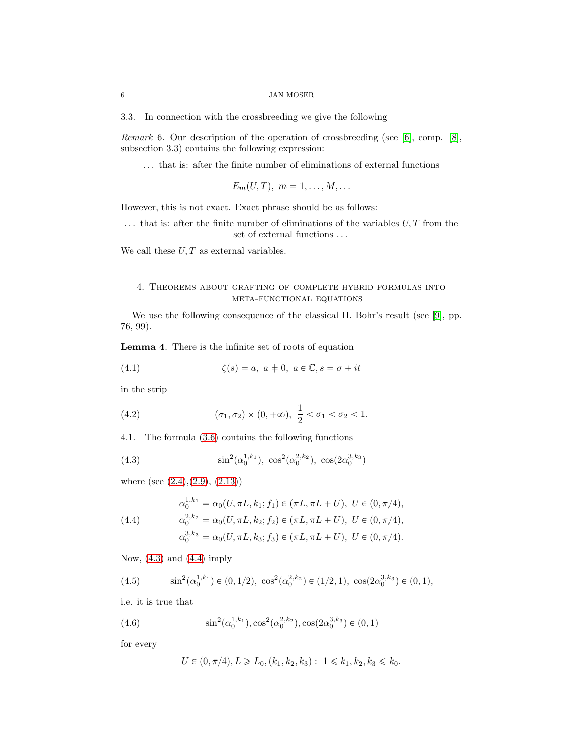3.3. In connection with the crossbreeding we give the following

Remark 6. Our description of the operation of crossbreeding (see [\[6\]](#page-10-4), comp. [\[8\]](#page-10-0), subsection 3.3) contains the following expression:

. . . that is: after the finite number of eliminations of external functions

$$
E_m(U,T), m = 1, \ldots, M, \ldots
$$

However, this is not exact. Exact phrase should be as follows:

 $\dots$  that is: after the finite number of eliminations of the variables  $U, T$  from the set of external functions  $\ldots$ 

We call these  $U, T$  as external variables.

## 4. Theorems about grafting of complete hybrid formulas into meta-functional equations

We use the following consequence of the classical H. Bohr's result (see [\[9\]](#page-10-8), pp. 76, 99).

Lemma 4. There is the infinite set of roots of equation

<span id="page-5-2"></span>(4.1) 
$$
\zeta(s) = a, \ a \neq 0, \ a \in \mathbb{C}, s = \sigma + it
$$

in the strip

(4.2) 
$$
(\sigma_1, \sigma_2) \times (0, +\infty), \frac{1}{2} < \sigma_1 < \sigma_2 < 1.
$$

4.1. The formula [\(3.6\)](#page-4-1) contains the following functions

<span id="page-5-0"></span>(4.3) 
$$
\sin^2(\alpha_0^{1,k_1}), \cos^2(\alpha_0^{2,k_2}), \cos(2\alpha_0^{3,k_3})
$$

where (see [\(2.4\)](#page-2-3),[\(2.9\)](#page-3-2), [\(2.13\)](#page-3-3))

<span id="page-5-1"></span>(4.4)  
\n
$$
\alpha_0^{1,k_1} = \alpha_0(U, \pi L, k_1; f_1) \in (\pi L, \pi L + U), \ U \in (0, \pi/4),
$$
\n
$$
\alpha_0^{2,k_2} = \alpha_0(U, \pi L, k_2; f_2) \in (\pi L, \pi L + U), \ U \in (0, \pi/4),
$$
\n
$$
\alpha_0^{3,k_3} = \alpha_0(U, \pi L, k_3; f_3) \in (\pi L, \pi L + U), \ U \in (0, \pi/4).
$$

Now, [\(4.3\)](#page-5-0) and [\(4.4\)](#page-5-1) imply

(4.5) 
$$
\sin^2(\alpha_0^{1,k_1}) \in (0, 1/2), \cos^2(\alpha_0^{2,k_2}) \in (1/2, 1), \cos(2\alpha_0^{3,k_3}) \in (0, 1),
$$

i.e. it is true that

(4.6) 
$$
\sin^2(\alpha_0^{1,k_1}), \cos^2(\alpha_0^{2,k_2}), \cos(2\alpha_0^{3,k_3}) \in (0,1)
$$

for every

<span id="page-5-3"></span>
$$
U \in (0, \pi/4), L \geq L_0, (k_1, k_2, k_3): 1 \leq k_1, k_2, k_3 \leq k_0.
$$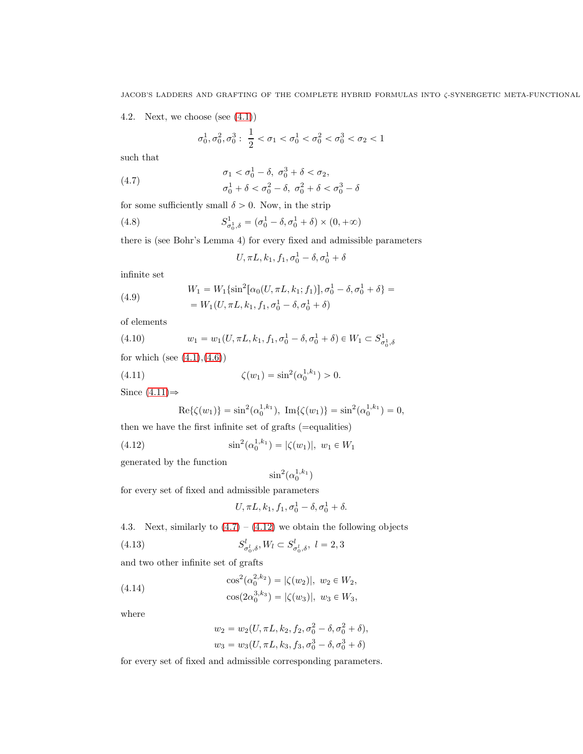4.2. Next, we choose (see  $(4.1)$ )

$$
\sigma_0^1, \sigma_0^2, \sigma_0^3: \; \frac{1}{2} < \sigma_1 < \sigma_0^1 < \sigma_0^2 < \sigma_0^3 < \sigma_2 < 1
$$

such that

<span id="page-6-1"></span>(4.7) 
$$
\sigma_1 < \sigma_0^1 - \delta, \ \sigma_0^3 + \delta < \sigma_2, \\
\sigma_0^1 + \delta < \sigma_0^2 - \delta, \ \sigma_0^2 + \delta < \sigma_0^3 - \delta
$$

for some sufficiently small  $\delta > 0$ . Now, in the strip

(4.8) 
$$
S_{\sigma_0^1, \delta}^1 = (\sigma_0^1 - \delta, \sigma_0^1 + \delta) \times (0, +\infty)
$$

there is (see Bohr's Lemma 4) for every fixed and admissible parameters

$$
U, \pi L, k_1, f_1, \sigma_0^1 - \delta, \sigma_0^1 + \delta
$$

infinite set

(4.9) 
$$
W_1 = W_1 \{ \sin^2[\alpha_0(U, \pi L, k_1; f_1)], \sigma_0^1 - \delta, \sigma_0^1 + \delta \} =
$$

$$
= W_1(U, \pi L, k_1, f_1, \sigma_0^1 - \delta, \sigma_0^1 + \delta)
$$

of elements

(4.10) 
$$
w_1 = w_1(U, \pi L, k_1, f_1, \sigma_0^1 - \delta, \sigma_0^1 + \delta) \in W_1 \subset S^1_{\sigma_0^1, \delta}
$$

for which (see  $(4.1), (4.6)$  $(4.1), (4.6)$ )

(4.11) 
$$
\zeta(w_1) = \sin^2(\alpha_0^{1,k_1}) > 0.
$$

Since  $(4.11) \Rightarrow$ 

<span id="page-6-0"></span>
$$
Re{\{\zeta(w_1)\}} = \sin^2(\alpha_0^{1,k_1}), \ \Im{\{\zeta(w_1)\}} = \sin^2(\alpha_0^{1,k_1}) = 0,
$$

then we have the first infinite set of grafts (=equalities)

(4.12) 
$$
\sin^2(\alpha_0^{1,k_1}) = |\zeta(w_1)|, w_1 \in W_1
$$

generated by the function

<span id="page-6-2"></span>
$$
\sin^2(\alpha_0^{1,k_1})
$$

for every set of fixed and admissible parameters

<span id="page-6-3"></span>
$$
U, \pi L, k_1, f_1, \sigma_0^1 - \delta, \sigma_0^1 + \delta.
$$

4.3. Next, similarly to  $(4.7) - (4.12)$  $(4.7) - (4.12)$  we obtain the following objects

(4.13) 
$$
S_{\sigma_0^l, \delta}^l, W_l \subset S_{\sigma_0^l, \delta}^l, \ l = 2, 3
$$

and two other infinite set of grafts

(4.14) 
$$
\cos^{2}(\alpha_{0}^{2,k_{2}}) = |\zeta(w_{2})|, w_{2} \in W_{2},
$$

<span id="page-6-4"></span>
$$
\cos(2\alpha_0^{3,k_3}) = |\zeta(w_3)|, w_3 \in W_3,
$$

where

$$
w_2 = w_2(U, \pi L, k_2, f_2, \sigma_0^2 - \delta, \sigma_0^2 + \delta),
$$
  

$$
w_3 = w_3(U, \pi L, k_3, f_3, \sigma_0^3 - \delta, \sigma_0^3 + \delta)
$$

for every set of fixed and admissible corresponding parameters.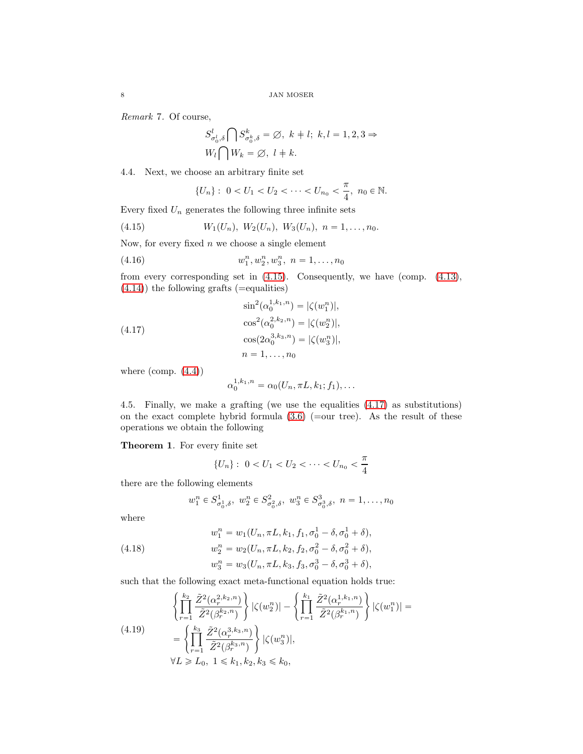Remark 7. Of course,

$$
\begin{aligned} S_{\sigma_0^l,\delta}^l \bigcap S_{\sigma_0^k,\delta}^k = \varnothing, \ k+l; \ k,l=1,2,3 \Rightarrow \\ W_l \bigcap W_k = \varnothing, \ l+k. \end{aligned}
$$

4.4. Next, we choose an arbitrary finite set

<span id="page-7-0"></span>
$$
\{U_n\}: \ 0 < U_1 < U_2 < \cdots < U_{n_0} < \frac{\pi}{4}, \ n_0 \in \mathbb{N}.
$$

Every fixed  $U_n$  generates the following three infinite sets

(4.15) 
$$
W_1(U_n), W_2(U_n), W_3(U_n), n = 1,..., n_0.
$$

Now, for every fixed  $n$  we choose a single element

(4.16) 
$$
w_1^n, w_2^n, w_3^n, n = 1, ..., n_0
$$

from every corresponding set in [\(4.15\)](#page-7-0). Consequently, we have (comp. [\(4.13\)](#page-6-3),  $(4.14)$ ) the following grafts (=equalities)

<span id="page-7-1"></span>(4.17)  
\n
$$
\sin^{2}(\alpha_{0}^{1,k_{1},n}) = |\zeta(w_{1}^{n})|,
$$
\n
$$
\cos^{2}(\alpha_{0}^{2,k_{2},n}) = |\zeta(w_{2}^{n})|,
$$
\n
$$
\cos(2\alpha_{0}^{3,k_{3},n}) = |\zeta(w_{3}^{n})|,
$$
\n
$$
n = 1, ..., n_{0}
$$

where  $\text{(comp. } (4.4) \text{)}$  $\text{(comp. } (4.4) \text{)}$  $\text{(comp. } (4.4) \text{)}$ 

$$
\alpha_0^{1,k_1,n} = \alpha_0(U_n, \pi L, k_1; f_1), \dots
$$

4.5. Finally, we make a grafting (we use the equalities [\(4.17\)](#page-7-1) as substitutions) on the exact complete hybrid formula  $(3.6)$  (=our tree). As the result of these operations we obtain the following

Theorem 1. For every finite set

$$
\{U_n\}: \ 0 < U_1 < U_2 < \cdots < U_{n_0} < \frac{\pi}{4}
$$

there are the following elements

$$
w_1^n \in S^1_{\sigma_0^1, \delta}, w_2^n \in S^2_{\sigma_0^2, \delta}, w_3^n \in S^3_{\sigma_0^3, \delta}, n = 1, \ldots, n_0
$$

where

(4.18) 
$$
w_1^n = w_1(U_n, \pi L, k_1, f_1, \sigma_0^1 - \delta, \sigma_0^1 + \delta),
$$

$$
w_2^n = w_2(U_n, \pi L, k_2, f_2, \sigma_0^2 - \delta, \sigma_0^2 + \delta),
$$

$$
w_3^n = w_3(U_n, \pi L, k_3, f_3, \sigma_0^3 - \delta, \sigma_0^3 + \delta),
$$

such that the following exact meta-functional equation holds true:

<span id="page-7-2"></span>
$$
\left\{\prod_{r=1}^{k_2} \frac{\tilde{Z}^2(\alpha_r^{2,k_2,n})}{\tilde{Z}^2(\beta_r^{k_2,n})}\right\} |\zeta(w_2^n)| - \left\{\prod_{r=1}^{k_1} \frac{\tilde{Z}^2(\alpha_r^{1,k_1,n})}{\tilde{Z}^2(\beta_r^{k_1,n})}\right\} |\zeta(w_1^n)| =
$$
\n
$$
= \left\{\prod_{r=1}^{k_3} \frac{\tilde{Z}^2(\alpha_r^{3,k_3,n})}{\tilde{Z}^2(\beta_r^{k_3,n})}\right\} |\zeta(w_3^n)|,
$$
\n
$$
\forall L \ge L_0, 1 \le k_1, k_2, k_3 \le k_0,
$$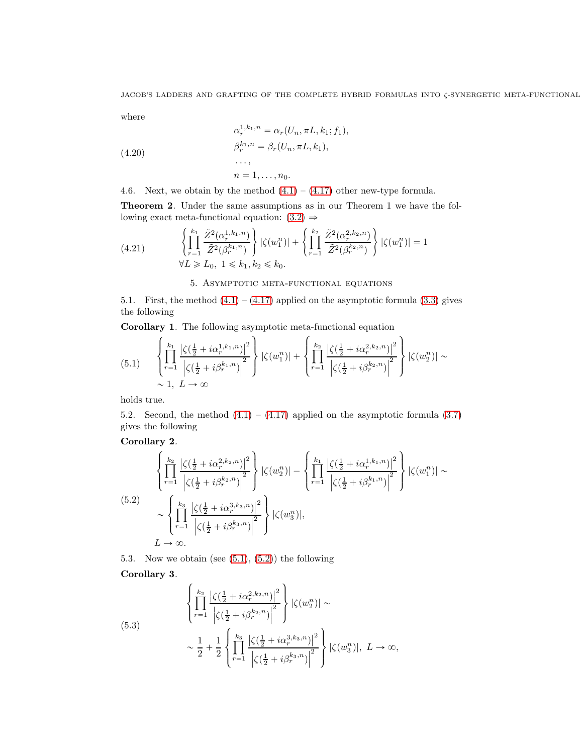where

(4.20)  
\n
$$
\alpha_r^{1,k_1,n} = \alpha_r(U_n, \pi L, k_1; f_1),
$$
\n
$$
\beta_r^{k_1,n} = \beta_r(U_n, \pi L, k_1),
$$
\n
$$
\dots,
$$
\n
$$
n = 1, \dots, n_0.
$$

4.6. Next, we obtain by the method  $(4.1) - (4.17)$  $(4.1) - (4.17)$  other new-type formula.

Theorem 2. Under the same assumptions as in our Theorem 1 we have the following exact meta-functional equation:  $(3.2) \Rightarrow$ 

<span id="page-8-2"></span>
$$
(4.21) \qquad \begin{cases} \prod_{r=1}^{k_1} \frac{\tilde{Z}^2(\alpha_r^{1,k_1,n})}{\tilde{Z}^2(\beta_r^{k_1,n})} \right\} |\zeta(w_1^n)| + \left\{ \prod_{r=1}^{k_2} \frac{\tilde{Z}^2(\alpha_r^{2,k_2,n})}{\tilde{Z}^2(\beta_r^{k_2,n})} \right\} |\zeta(w_1^n)| = 1\\ \forall L \ge L_0, \ 1 \le k_1, k_2 \le k_0. \end{cases}
$$

5. Asymptotic meta-functional equations

5.1. First, the method  $(4.1) - (4.17)$  $(4.1) - (4.17)$  applied on the asymptotic formula  $(3.3)$  gives the following

Corollary 1. The following asymptotic meta-functional equation

<span id="page-8-0"></span>
$$
(5.1) \qquad \left\{ \prod_{r=1}^{k_1} \frac{\left| \zeta(\frac{1}{2} + i\alpha_r^{1,k_1,n}) \right|^2}{\left| \zeta(\frac{1}{2} + i\beta_r^{k_1,n}) \right|^2} \right\} \left| \zeta(w_1^n) \right| + \left\{ \prod_{r=1}^{k_2} \frac{\left| \zeta(\frac{1}{2} + i\alpha_r^{2,k_2,n}) \right|^2}{\left| \zeta(\frac{1}{2} + i\beta_r^{k_2,n}) \right|^2} \right\} \left| \zeta(w_2^n) \right| \sim \\ \sim 1, L \to \infty
$$

holds true.

5.2. Second, the method  $(4.1) - (4.17)$  $(4.1) - (4.17)$  applied on the asymptotic formula  $(3.7)$ gives the following

Corollary 2.

<span id="page-8-1"></span>
$$
\begin{aligned}\n\left\{\n\prod_{r=1}^{k_{2}}\frac{\left|\zeta(\frac{1}{2}+i\alpha_{r}^{2,k_{2},n})\right|^{2}}{\left|\zeta(\frac{1}{2}+i\beta_{r}^{k_{2},n})\right|^{2}}\n\right\}\n|\zeta(w_{2}^{n})| - \left\{\n\prod_{r=1}^{k_{1}}\frac{\left|\zeta(\frac{1}{2}+i\alpha_{r}^{1,k_{1},n})\right|^{2}}{\left|\zeta(\frac{1}{2}+i\beta_{r}^{k_{1},n})\right|^{2}}\n\right\}\n|\zeta(w_{1}^{n})| \sim \\
&\sim\n\left\{\n\prod_{r=1}^{k_{3}}\frac{\left|\zeta(\frac{1}{2}+i\alpha_{r}^{3,k_{3},n})\right|^{2}}{\left|\zeta(\frac{1}{2}+i\beta_{r}^{k_{3},n})\right|^{2}}\n\right\}\n|\zeta(w_{3}^{n})|, \\
L \to \infty.\n\end{aligned}
$$
\n(5.2)

5.3. Now we obtain (see  $(5.1)$ ,  $(5.2)$ ) the following Corollary 3.

(5.3)  

$$
\left\{\prod_{r=1}^{k_2} \frac{|\zeta(\frac{1}{2}+i\alpha_r^{2,k_2,n})|^2}{|\zeta(\frac{1}{2}+i\beta_r^{k_2,n})|^2}\right\} |\zeta(w_2^n)| \sim
$$

$$
\sim \frac{1}{2} + \frac{1}{2} \left\{\prod_{r=1}^{k_3} \frac{|\zeta(\frac{1}{2}+i\alpha_r^{3,k_3,n})|^2}{|\zeta(\frac{1}{2}+i\beta_r^{k_3,n})|^2}\right\} |\zeta(w_3^n)|, L \to \infty,
$$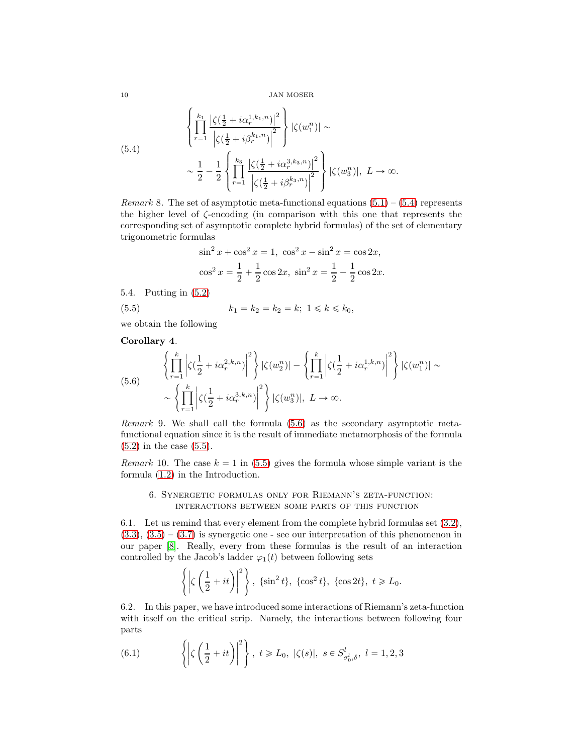10 JAN MOSER

<span id="page-9-0"></span>(5.4)  

$$
\left\{\prod_{r=1}^{k_1} \frac{|\zeta(\frac{1}{2}+i\alpha_r^{1,k_1,n})|^2}{|\zeta(\frac{1}{2}+i\beta_r^{k_1,n})|^2}\right\} |\zeta(w_1^n)| \sim
$$

$$
\sim \frac{1}{2} - \frac{1}{2} \left\{\prod_{r=1}^{k_3} \frac{|\zeta(\frac{1}{2}+i\alpha_r^{3,k_3,n})|^2}{|\zeta(\frac{1}{2}+i\beta_r^{k_3,n})|^2}\right\} |\zeta(w_3^n)|, L \to \infty.
$$

*Remark* 8. The set of asymptotic meta-functional equations  $(5.1) - (5.4)$  $(5.1) - (5.4)$  represents the higher level of ζ-encoding (in comparison with this one that represents the corresponding set of asymptotic complete hybrid formulas) of the set of elementary trigonometric formulas

<span id="page-9-2"></span>
$$
\sin^2 x + \cos^2 x = 1, \quad \cos^2 x - \sin^2 x = \cos 2x,
$$

$$
\cos^2 x = \frac{1}{2} + \frac{1}{2}\cos 2x, \quad \sin^2 x = \frac{1}{2} - \frac{1}{2}\cos 2x.
$$

5.4. Putting in [\(5.2\)](#page-8-1)

(5.5) 
$$
k_1 = k_2 = k_2 = k; \ 1 \le k \le k_0,
$$

we obtain the following

Corollary 4.

<span id="page-9-1"></span>(5.6) 
$$
\left\{ \prod_{r=1}^{k} \left| \zeta(\frac{1}{2} + i\alpha_r^{2,k,n}) \right|^2 \right\} |\zeta(w_2^n)| - \left\{ \prod_{r=1}^{k} \left| \zeta(\frac{1}{2} + i\alpha_r^{1,k,n}) \right|^2 \right\} |\zeta(w_1^n)| \sim \left\{ \prod_{r=1}^{k} \left| \zeta(\frac{1}{2} + i\alpha_r^{3,k,n}) \right|^2 \right\} |\zeta(w_3^n)|, L \to \infty.
$$

Remark 9. We shall call the formula [\(5.6\)](#page-9-1) as the secondary asymptotic metafunctional equation since it is the result of immediate metamorphosis of the formula [\(5.2\)](#page-8-1) in the case [\(5.5\)](#page-9-2).

Remark 10. The case  $k = 1$  in [\(5.5\)](#page-9-2) gives the formula whose simple variant is the formula [\(1.2\)](#page-0-0) in the Introduction.

#### 6. Synergetic formulas only for Riemann's zeta-function: interactions between some parts of this function

6.1. Let us remind that every element from the complete hybrid formulas set [\(3.2\)](#page-3-0),  $(3.3), (3.5) - (3.7)$  $(3.3), (3.5) - (3.7)$  $(3.3), (3.5) - (3.7)$  $(3.3), (3.5) - (3.7)$  $(3.3), (3.5) - (3.7)$  is synergetic one - see our interpretation of this phenomenon in our paper [\[8\]](#page-10-0). Really, every from these formulas is the result of an interaction controlled by the Jacob's ladder  $\varphi_1(t)$  between following sets

$$
\left\{ \left| \zeta \left( \frac{1}{2} + it \right) \right|^2 \right\}, \quad \{\sin^2 t\}, \quad \{\cos^2 t\}, \quad \{\cos 2t\}, \quad t \geq L_0.
$$

6.2. In this paper, we have introduced some interactions of Riemann's zeta-function with itself on the critical strip. Namely, the interactions between following four parts

<span id="page-9-3"></span>(6.1) 
$$
\left\{ \left| \zeta \left( \frac{1}{2} + it \right) \right|^2 \right\}, \ t \ge L_0, \ |\zeta(s)|, \ s \in S_{\sigma_0^l, \delta}^l, \ l = 1, 2, 3
$$